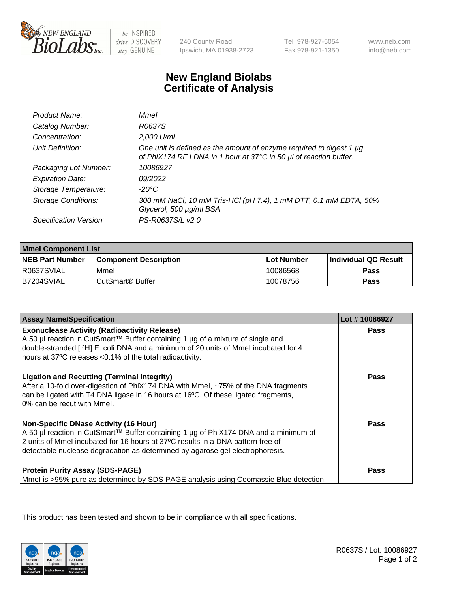

be INSPIRED drive DISCOVERY stay GENUINE

240 County Road Ipswich, MA 01938-2723

Tel 978-927-5054 Fax 978-921-1350

www.neb.com info@neb.com

## **New England Biolabs Certificate of Analysis**

| Product Name:              | Mmel                                                                                                                                      |
|----------------------------|-------------------------------------------------------------------------------------------------------------------------------------------|
| Catalog Number:            | R0637S                                                                                                                                    |
| Concentration:             | 2,000 U/ml                                                                                                                                |
| Unit Definition:           | One unit is defined as the amount of enzyme required to digest 1 µg<br>of PhiX174 RF I DNA in 1 hour at 37°C in 50 µl of reaction buffer. |
| Packaging Lot Number:      | 10086927                                                                                                                                  |
| <b>Expiration Date:</b>    | 09/2022                                                                                                                                   |
| Storage Temperature:       | $-20^{\circ}$ C                                                                                                                           |
| <b>Storage Conditions:</b> | 300 mM NaCl, 10 mM Tris-HCl (pH 7.4), 1 mM DTT, 0.1 mM EDTA, 50%<br>Glycerol, 500 µg/ml BSA                                               |
| Specification Version:     | PS-R0637S/L v2.0                                                                                                                          |

| <b>Mmel Component List</b> |                              |            |                             |  |
|----------------------------|------------------------------|------------|-----------------------------|--|
| <b>NEB Part Number</b>     | <b>Component Description</b> | Lot Number | <b>Individual QC Result</b> |  |
| R0637SVIAL                 | Mmel                         | 10086568   | Pass                        |  |
| IB7204SVIAL                | ⊧CutSmart® Buffer            | 10078756   | Pass                        |  |

| <b>Assay Name/Specification</b>                                                                                                                                                                                                                                                                          | Lot #10086927 |
|----------------------------------------------------------------------------------------------------------------------------------------------------------------------------------------------------------------------------------------------------------------------------------------------------------|---------------|
| <b>Exonuclease Activity (Radioactivity Release)</b><br>A 50 µl reaction in CutSmart™ Buffer containing 1 µg of a mixture of single and<br>double-stranded [3H] E. coli DNA and a minimum of 20 units of Mmel incubated for 4<br>hours at 37°C releases <0.1% of the total radioactivity.                 | <b>Pass</b>   |
| <b>Ligation and Recutting (Terminal Integrity)</b><br>After a 10-fold over-digestion of PhiX174 DNA with Mmel, ~75% of the DNA fragments<br>can be ligated with T4 DNA ligase in 16 hours at 16°C. Of these ligated fragments,<br>0% can be recut with Mmel.                                             | Pass          |
| <b>Non-Specific DNase Activity (16 Hour)</b><br>A 50 µl reaction in CutSmart™ Buffer containing 1 µg of PhiX174 DNA and a minimum of<br>2 units of Mmel incubated for 16 hours at 37°C results in a DNA pattern free of<br>detectable nuclease degradation as determined by agarose gel electrophoresis. | Pass          |
| <b>Protein Purity Assay (SDS-PAGE)</b><br>Mmel is >95% pure as determined by SDS PAGE analysis using Coomassie Blue detection.                                                                                                                                                                           | Pass          |

This product has been tested and shown to be in compliance with all specifications.